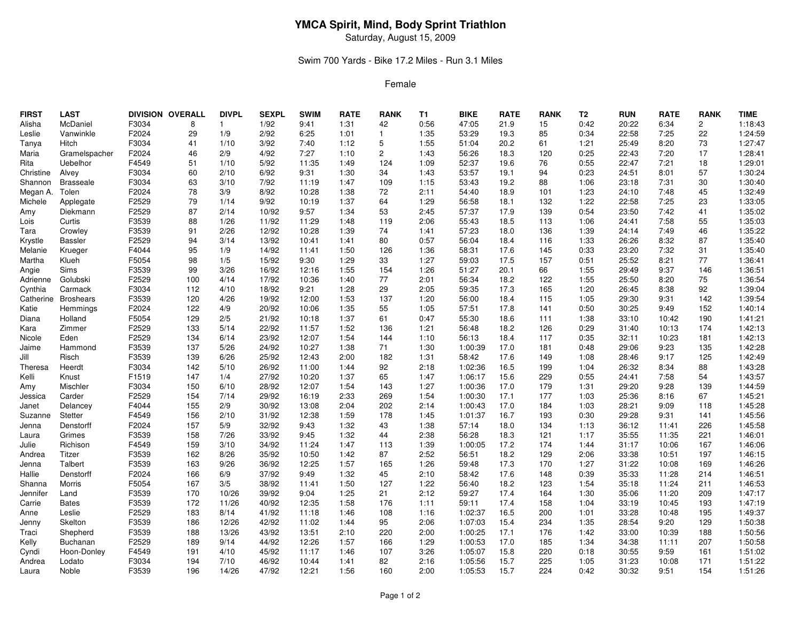# **YMCA Spirit, Mind, Body Sprint Triathlon**

Saturday, August 15, 2009

### Swim 700 Yards - Bike 17.2 Miles - Run 3.1 Miles

#### Female

| <b>FIRST</b> | <b>LAST</b>      |       | DIVISION OVERALL | <b>DIVPL</b> | <b>SEXPL</b> | <b>SWIM</b> | <b>RATE</b> | <b>RANK</b>    | T1   | BIKE    | <b>RATE</b> | <b>RANK</b> | T <sub>2</sub> | <b>RUN</b> | <b>RATE</b> | <b>RANK</b>    | <b>TIME</b> |
|--------------|------------------|-------|------------------|--------------|--------------|-------------|-------------|----------------|------|---------|-------------|-------------|----------------|------------|-------------|----------------|-------------|
| Alisha       | McDaniel         | F3034 | 8                | $\mathbf{1}$ | 1/92         | 9:41        | 1:31        | 42             | 0:56 | 47:05   | 21.9        | 15          | 0:42           | 20:22      | 6:34        | $\overline{c}$ | 1:18:43     |
| Leslie       | Vanwinkle        | F2024 | 29               | 1/9          | 2/92         | 6:25        | 1:01        | $\mathbf{1}$   | 1:35 | 53:29   | 19.3        | 85          | 0:34           | 22:58      | 7:25        | 22             | 1:24:59     |
| Tanya        | Hitch            | F3034 | 41               | 1/10         | 3/92         | 7:40        | 1:12        | 5              | 1:55 | 51:04   | 20.2        | 61          | 1:21           | 25:49      | 8:20        | 73             | 1:27:47     |
| Maria        | Gramelspacher    | F2024 | 46               | 2/9          | 4/92         | 7:27        | 1:10        | $\overline{2}$ | 1:43 | 56:26   | 18.3        | 120         | 0:25           | 22:43      | 7:20        | 17             | 1:28:41     |
| Rita         | Uebelhor         | F4549 | 51               | 1/10         | 5/92         | 11:35       | 1:49        | 124            | 1:09 | 52:37   | 19.6        | 76          | 0:55           | 22:47      | 7:21        | 18             | 1:29:01     |
| Christine    | Alvey            | F3034 | 60               | 2/10         | 6/92         | 9:31        | 1:30        | 34             | 1:43 | 53:57   | 19.1        | 94          | 0:23           | 24:51      | 8:01        | 57             | 1:30:24     |
| Shannon      | <b>Brasseale</b> | F3034 | 63               | 3/10         | 7/92         | 11:19       | 1:47        | 109            | 1:15 | 53:43   | 19.2        | 88          | 1:06           | 23:18      | 7:31        | 30             | 1:30:40     |
| Megan A.     | Tolen            | F2024 | 78               | 3/9          | 8/92         | 10:28       | 1:38        | 72             | 2:11 | 54:40   | 18.9        | 101         | 1:23           | 24:10      | 7:48        | 45             | 1:32:49     |
| Michele      | Applegate        | F2529 | 79               | 1/14         | 9/92         | 10:19       | 1:37        | 64             | 1:29 | 56:58   | 18.1        | 132         | 1:22           | 22:58      | 7:25        | 23             | 1:33:05     |
| Amy          | Diekmann         | F2529 | 87               | 2/14         | 10/92        | 9:57        | 1:34        | 53             | 2:45 | 57:37   | 17.9        | 139         | 0:54           | 23:50      | 7:42        | 41             | 1:35:02     |
| Lois         | Curtis           | F3539 | 88               | 1/26         | 11/92        | 11:29       | 1:48        | 119            | 2:06 | 55:43   | 18.5        | 113         | 1:06           | 24:41      | 7:58        | 55             | 1:35:03     |
| Tara         | Crowley          | F3539 | 91               | 2/26         | 12/92        | 10:28       | 1:39        | 74             | 1:41 | 57:23   | 18.0        | 136         | 1:39           | 24:14      | 7:49        | 46             | 1:35:22     |
| Krystle      | <b>Bassler</b>   | F2529 | 94               | 3/14         | 13/92        | 10:41       | 1:41        | 80             | 0:57 | 56:04   | 18.4        | 116         | 1:33           | 26:26      | 8:32        | 87             | 1:35:40     |
| Melanie      | Krueger          | F4044 | 95               | 1/9          | 14/92        | 11:41       | 1:50        | 126            | 1:36 | 58:31   | 17.6        | 145         | 0:33           | 23:20      | 7:32        | 31             | 1:35:40     |
| Martha       | Klueh            | F5054 | 98               | 1/5          | 15/92        | 9:30        | 1:29        | 33             | 1:27 | 59:03   | 17.5        | 157         | 0:51           | 25:52      | 8:21        | 77             | 1:36:41     |
| Angie        | Sims             | F3539 | 99               | 3/26         | 16/92        | 12:16       | 1:55        | 154            | 1:26 | 51:27   | 20.1        | 66          | 1:55           | 29:49      | 9:37        | 146            | 1:36:51     |
| Adrienne     | Golubski         | F2529 | 100              | 4/14         | 17/92        | 10:36       | 1:40        | 77             | 2:01 | 56:34   | 18.2        | 122         | 1:55           | 25:50      | 8:20        | 75             | 1:36:54     |
| Cynthia      | Carmack          | F3034 | 112              | 4/10         | 18/92        | 9:21        | 1:28        | 29             | 2:05 | 59:35   | 17.3        | 165         | 1:20           | 26:45      | 8:38        | 92             | 1:39:04     |
| Catherine    | <b>Broshears</b> | F3539 | 120              | 4/26         | 19/92        | 12:00       | 1:53        | 137            | 1:20 | 56:00   | 18.4        | 115         | 1:05           | 29:30      | 9:31        | 142            | 1:39:54     |
| Katie        | Hemmings         | F2024 | 122              | 4/9          | 20/92        | 10:06       | 1:35        | 55             | 1:05 | 57:51   | 17.8        | 141         | 0:50           | 30:25      | 9:49        | 152            | 1:40:14     |
| Diana        | Holland          | F5054 | 129              | 2/5          | 21/92        | 10:18       | 1:37        | 61             | 0:47 | 55:30   | 18.6        | 111         | 1:38           | 33:10      | 10:42       | 190            | 1:41:21     |
| Kara         | Zimmer           | F2529 | 133              | 5/14         | 22/92        | 11:57       | 1:52        | 136            | 1:21 | 56:48   | 18.2        | 126         | 0:29           | 31:40      | 10:13       | 174            | 1:42:13     |
| Nicole       | Eden             | F2529 | 134              | 6/14         | 23/92        | 12:07       | 1:54        | 144            | 1:10 | 56:13   | 18.4        | 117         | 0:35           | 32:11      | 10:23       | 181            | 1:42:13     |
| Jaime        | Hammond          | F3539 | 137              | 5/26         | 24/92        | 10:27       | 1:38        | 71             | 1:30 | 1:00:39 | 17.0        | 181         | 0:48           | 29:06      | 9:23        | 135            | 1:42:28     |
| Jill         | Risch            | F3539 | 139              | 6/26         | 25/92        | 12:43       | 2:00        | 182            | 1:31 | 58:42   | 17.6        | 149         | 1:08           | 28:46      | 9:17        | 125            | 1:42:49     |
| Theresa      | Heerdt           | F3034 | 142              | 5/10         | 26/92        | 11:00       | 1:44        | 92             | 2:18 | 1:02:36 | 16.5        | 199         | 1:04           | 26:32      | 8:34        | 88             | 1:43:28     |
| Kelli        | Knust            | F1519 | 147              | 1/4          | 27/92        | 10:20       | 1:37        | 65             | 1:47 | 1:06:17 | 15.6        | 229         | 0:55           | 24:41      | 7:58        | 54             | 1:43:57     |
| Amy          | Mischler         | F3034 | 150              | 6/10         | 28/92        | 12:07       | 1:54        | 143            | 1:27 | 1:00:36 | 17.0        | 179         | 1:31           | 29:20      | 9:28        | 139            | 1:44:59     |
| Jessica      | Carder           | F2529 | 154              | 7/14         | 29/92        | 16:19       | 2:33        | 269            | 1:54 | 1:00:30 | 17.1        | 177         | 1:03           | 25:36      | 8:16        | 67             | 1:45:21     |
| Janet        | Delancey         | F4044 | 155              | 2/9          | 30/92        | 13:08       | 2:04        | 202            | 2:14 | 1:00:43 | 17.0        | 184         | 1:03           | 28:21      | 9:09        | 118            | 1:45:28     |
| Suzanne      | Stetter          | F4549 | 156              | 2/10         | 31/92        | 12:38       | 1:59        | 178            | 1:45 | 1:01:37 | 16.7        | 193         | 0:30           | 29:28      | 9:31        | 141            | 1:45:56     |
| Jenna        | Denstorff        | F2024 | 157              | 5/9          | 32/92        | 9:43        | 1:32        | 43             | 1:38 | 57:14   | 18.0        | 134         | 1:13           | 36:12      | 11:41       | 226            | 1:45:58     |
| Laura        | Grimes           | F3539 | 158              | 7/26         | 33/92        | 9:45        | 1:32        | 44             | 2:38 | 56:28   | 18.3        | 121         | 1:17           | 35:55      | 11:35       | 221            | 1:46:01     |
| Julie        | Richison         | F4549 | 159              | 3/10         | 34/92        | 11:24       | 1:47        | 113            | 1:39 | 1:00:05 | 17.2        | 174         | 1:44           | 31:17      | 10:06       | 167            | 1:46:06     |
| Andrea       | Titzer           | F3539 | 162              | 8/26         | 35/92        | 10:50       | 1:42        | 87             | 2:52 | 56:51   | 18.2        | 129         | 2:06           | 33:38      | 10:51       | 197            | 1:46:15     |
| Jenna        | Talbert          | F3539 | 163              | 9/26         | 36/92        | 12:25       | 1:57        | 165            | 1:26 | 59:48   | 17.3        | 170         | 1:27           | 31:22      | 10:08       | 169            | 1:46:26     |
| Hallie       | Denstorff        | F2024 | 166              | 6/9          | 37/92        | 9:49        | 1:32        | 45             | 2:10 | 58:42   | 17.6        | 148         | 0:39           | 35:33      | 11:28       | 214            | 1:46:51     |
| Shanna       | Morris           | F5054 | 167              | 3/5          | 38/92        | 11:41       | 1:50        | 127            | 1:22 | 56:40   | 18.2        | 123         | 1:54           | 35:18      | 11:24       | 211            | 1:46:53     |
| Jennifer     | Land             | F3539 | 170              | 10/26        | 39/92        | 9:04        | 1:25        | 21             | 2:12 | 59:27   | 17.4        | 164         | 1:30           | 35:06      | 11:20       | 209            | 1:47:17     |
| Carrie       | Bates            | F3539 | 172              | 11/26        | 40/92        | 12:35       | 1:58        | 176            | 1:11 | 59:11   | 17.4        | 158         | 1:04           | 33:19      | 10:45       | 193            | 1:47:19     |
| Anne         | Leslie           | F2529 | 183              | 8/14         | 41/92        | 11:18       | 1:46        | 108            | 1:16 | 1:02:37 | 16.5        | 200         | 1:01           | 33:28      | 10:48       | 195            | 1:49:37     |
| Jenny        | Skelton          | F3539 | 186              | 12/26        | 42/92        | 11:02       | 1:44        | 95             | 2:06 | 1:07:03 | 15.4        | 234         | 1:35           | 28:54      | 9:20        | 129            | 1:50:38     |
| Traci        | Shepherd         | F3539 | 188              | 13/26        | 43/92        | 13:51       | 2:10        | 220            | 2:00 | 1:00:25 | 17.1        | 176         | 1:42           | 33:00      | 10:39       | 188            | 1:50:56     |
| Kelly        | Buchanan         | F2529 | 189              | 9/14         | 44/92        | 12:26       | 1:57        | 166            | 1:29 | 1:00:53 | 17.0        | 185         | 1:34           | 34:38      | 11:11       | 207            | 1:50:58     |
| Cyndi        | Hoon-Donley      | F4549 | 191              | 4/10         | 45/92        | 11:17       | 1:46        | 107            | 3:26 | 1:05:07 | 15.8        | 220         | 0:18           | 30:55      | 9:59        | 161            | 1:51:02     |
| Andrea       | Lodato           | F3034 | 194              | 7/10         | 46/92        | 10:44       | 1:41        | 82             | 2:16 | 1:05:56 | 15.7        | 225         | 1:05           | 31:23      | 10:08       | 171            | 1:51:22     |
| Laura        | Noble            | F3539 | 196              | 14/26        | 47/92        | 12:21       | 1:56        | 160            | 2:00 | 1:05:53 | 15.7        | 224         | 0:42           | 30:32      | 9:51        | 154            | 1:51:26     |